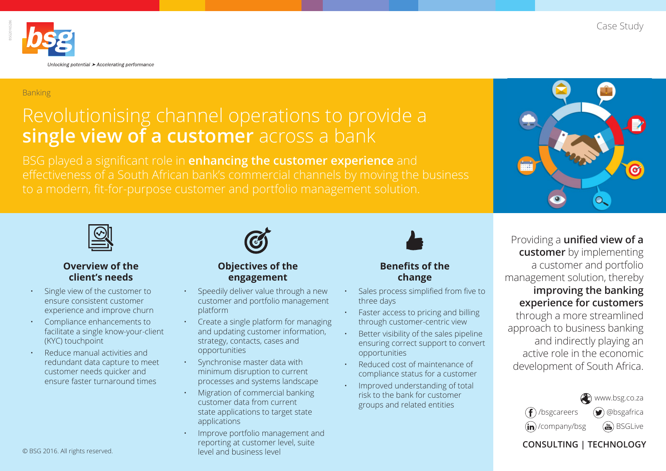Case Study



#### Banking

# Revolutionising channel operations to provide a **single view of a customer** across a bank

BSG played a significant role in **enhancing the customer experience** and

**Objectives of the engagement**

• Speedily deliver value through a new customer and portfolio management

• Create a single platform for managing





#### **Overview of the client's needs**

- Single view of the customer to ensure consistent customer experience and improve churn
- Compliance enhancements to facilitate a single know-your-client (KYC) touchpoint
- Reduce manual activities and redundant data capture to meet customer needs quicker and ensure faster turnaround times



- - and updating customer information, strategy, contacts, cases and opportunities
		- Synchronise master data with minimum disruption to current processes and systems landscape

platform

- Migration of commercial banking customer data from current state applications to target state applications
- Improve portfolio management and reporting at customer level, suite level and business level



#### **Benefits of the change**

- Sales process simplified from five to three days
- Faster access to pricing and billing through customer-centric view
- Better visibility of the sales pipeline ensuring correct support to convert opportunities
- Reduced cost of maintenance of compliance status for a customer
- Improved understanding of total risk to the bank for customer groups and related entities

## Providing a **unified view of a customer** by implementing a customer and portfolio management solution, thereby **improving the banking experience for customers**

through a more streamlined approach to business banking and indirectly playing an active role in the economic development of South Africa.



#### **CONSULTING | TECHNOLOGY**

© BSG 2016. All rights reserved.